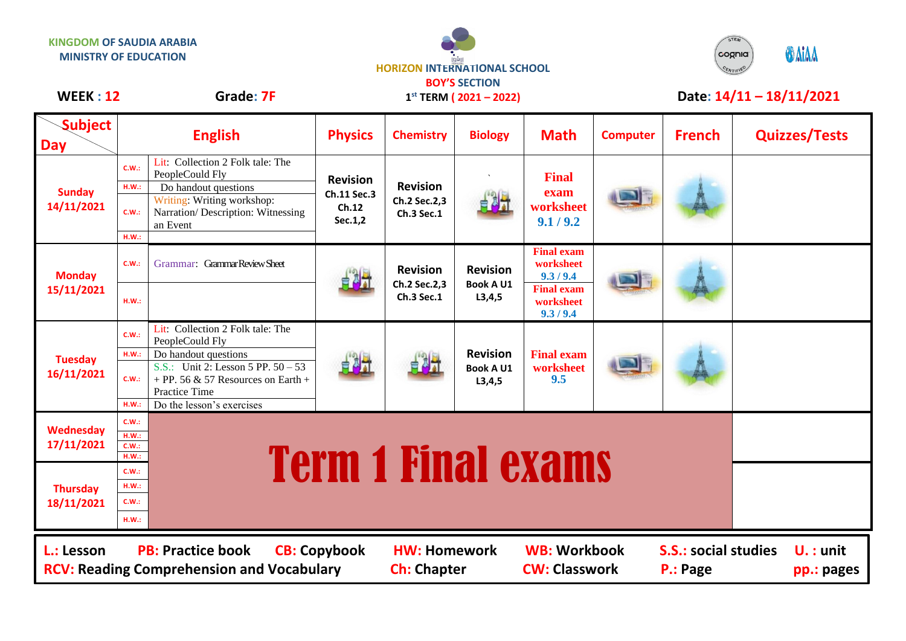



## WEEK : 12 **Grade: 7F** 1<sup>st</sup> TERM (2021 – 2022) **Date: 14/11 – 18/11/2021**

|  | <b>VEEK : 12</b> |  |  |
|--|------------------|--|--|
|--|------------------|--|--|

**1 st TERM ( 2021 – 2022)**

| <b>Subject</b><br><b>Day</b>                                                                                                                                                                                                                                                         |                                                             | <b>English</b>                                                                                                                                  | <b>Physics</b>                          | <b>Chemistry</b>                              | <b>Biology</b>                                  | <b>Math</b>                                 | <b>Computer</b> | <b>French</b> | <b>Quizzes/Tests</b> |
|--------------------------------------------------------------------------------------------------------------------------------------------------------------------------------------------------------------------------------------------------------------------------------------|-------------------------------------------------------------|-------------------------------------------------------------------------------------------------------------------------------------------------|-----------------------------------------|-----------------------------------------------|-------------------------------------------------|---------------------------------------------|-----------------|---------------|----------------------|
| <b>Sunday</b><br>14/11/2021                                                                                                                                                                                                                                                          | C.W.:<br>H.W.:<br>C.W.                                      | Lit: Collection 2 Folk tale: The<br>PeopleCould Fly<br>Do handout questions<br>Writing: Writing workshop:<br>Narration/ Description: Witnessing | <b>Revision</b><br>Ch.11 Sec.3<br>Ch.12 | <b>Revision</b><br>Ch.2 Sec.2,3<br>Ch.3 Sec.1 | 电对                                              | <b>Final</b><br>exam<br>worksheet           |                 |               |                      |
|                                                                                                                                                                                                                                                                                      | H.W.:                                                       | an Event                                                                                                                                        | Sec.1,2                                 |                                               |                                                 | 9.1 / 9.2                                   |                 |               |                      |
| <b>Monday</b><br>15/11/2021                                                                                                                                                                                                                                                          | C.W.                                                        | Grammar: Grammar Review Sheet                                                                                                                   | 自 <sup>別端</sup>                         | <b>Revision</b><br>Ch.2 Sec.2,3<br>Ch.3 Sec.1 | <b>Revision</b><br><b>Book A U1</b><br>L3,4,5   | <b>Final exam</b><br>worksheet<br>9.3 / 9.4 |                 |               |                      |
|                                                                                                                                                                                                                                                                                      | H.W.:                                                       |                                                                                                                                                 |                                         |                                               |                                                 | <b>Final exam</b><br>worksheet<br>9.3 / 9.4 |                 |               |                      |
| <b>Tuesday</b><br>16/11/2021                                                                                                                                                                                                                                                         | C.W.:                                                       | Lit: Collection 2 Folk tale: The<br>PeopleCould Fly                                                                                             | 自制社                                     |                                               | <b>Revision</b><br><b>Book A U1</b><br>L3, 4, 5 | <b>Final exam</b><br>worksheet<br>9.5       |                 |               |                      |
|                                                                                                                                                                                                                                                                                      | H.W.:<br>C.W.:                                              | Do handout questions<br>S.S.: Unit 2: Lesson 5 PP. $50 - 53$<br>+ PP. 56 & 57 Resources on Earth +<br>Practice Time                             |                                         |                                               |                                                 |                                             |                 |               |                      |
| <b>Wednesday</b><br>17/11/2021                                                                                                                                                                                                                                                       | H.W.:<br>C.W.:<br>H.W.:<br>C.W.:<br>H.W.:                   | Do the lesson's exercises                                                                                                                       |                                         |                                               |                                                 |                                             |                 |               |                      |
| <b>Thursday</b><br>18/11/2021                                                                                                                                                                                                                                                        | <b>Term 1 Final exams</b><br>C.W.:<br>HM.:<br>C.W.:<br>HM.: |                                                                                                                                                 |                                         |                                               |                                                 |                                             |                 |               |                      |
| <b>WB: Workbook</b><br><b>PB: Practice book</b><br><b>S.S.: social studies</b><br>L.: Lesson<br><b>CB: Copybook</b><br><b>HW: Homework</b><br>$U.:$ unit<br><b>RCV: Reading Comprehension and Vocabulary</b><br><b>CW: Classwork</b><br><b>Ch: Chapter</b><br>P.: Page<br>pp.: pages |                                                             |                                                                                                                                                 |                                         |                                               |                                                 |                                             |                 |               |                      |